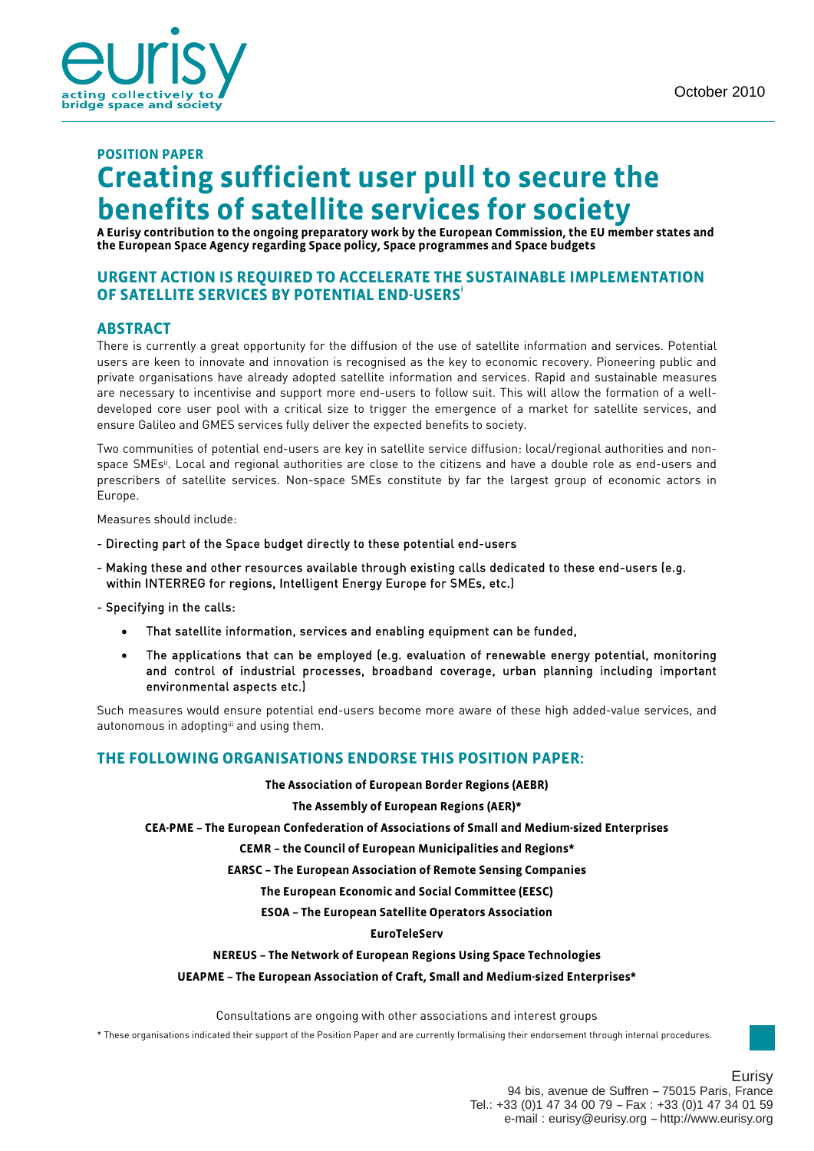# **POSITION PAPER Creating sufficient user pull to secure the benefits of satellite services for society**

**A Eurisy contribution to the ongoing preparatory work by the European Commission, the EU member states and the European Space Agency regarding Space policy, Space programmes and Space budgets** 

### **URGENT ACTION IS REQUIRED TO ACCELERATE THE SUSTAINABLE IMPLEMENTATION OF SATELLITE SERVICES BY POTENTIAL END-USERS<sup>i</sup>**

#### **ABSTRACT**

There is currently a great opportunity for the diffusion of the use of satellite information and services. Potential users are keen to innovate and innovation is recognised as the key to economic recovery. Pioneering public and private organisations have already adopted satellite information and services. Rapid and sustainable measures are necessary to incentivise and support more end-users to follow suit. This will allow the formation of a welldeveloped core user pool with a critical size to trigger the emergence of a market for satellite services, and ensure Galileo and GMES services fully deliver the expected benefits to society.

Two communities of potential end-users are key in satellite service diffusion: local/regional authorities and nonspace SMEsii. Local and regional authorities are close to the citizens and have a double role as end-users and prescribers of satellite services. Non-space SMEs constitute by far the largest group of economic actors in Europe.

Measures should include:

- Directing part of the Space budget directly to these potential end-users
- Making these and other resources available through existing calls dedicated to these end-users (e.g. within INTERREG for regions, Intelligent Energy Europe for SMEs, etc.)

- Specifying in the calls:

- That satellite information, services and enabling equipment can be funded,
- The applications that can be employed (e.g. evaluation of renewable energy potential, monitoring and control of industrial processes, broadband coverage, urban planning including important environmental aspects etc.)

Such measures would ensure potential end-users become more aware of these high added-value services, and autonomous in adoptingiii and using them.

#### **THE FOLLOWING ORGANISATIONS ENDORSE THIS POSITION PAPER:**

**The Association of European Border Regions (AEBR)** 

**The Assembly of European Regions (AER)\*** 

**CEA-PME – The European Confederation of Associations of Small and Medium-sized Enterprises** 

**CEMR – the Council of European Municipalities and Regions\*** 

**EARSC – The European Association of Remote Sensing Companies** 

**The European Economic and Social Committee (EESC)** 

**ESOA – The European Satellite Operators Association** 

#### **EuroTeleServ**

#### **NEREUS – The Network of European Regions Using Space Technologies**

#### **UEAPME – The European Association of Craft, Small and Medium-sized Enterprises\***

Consultations are ongoing with other associations and interest groups

\* These organisations indicated their support of the Position Paper and are currently formalising their endorsement through internal procedures.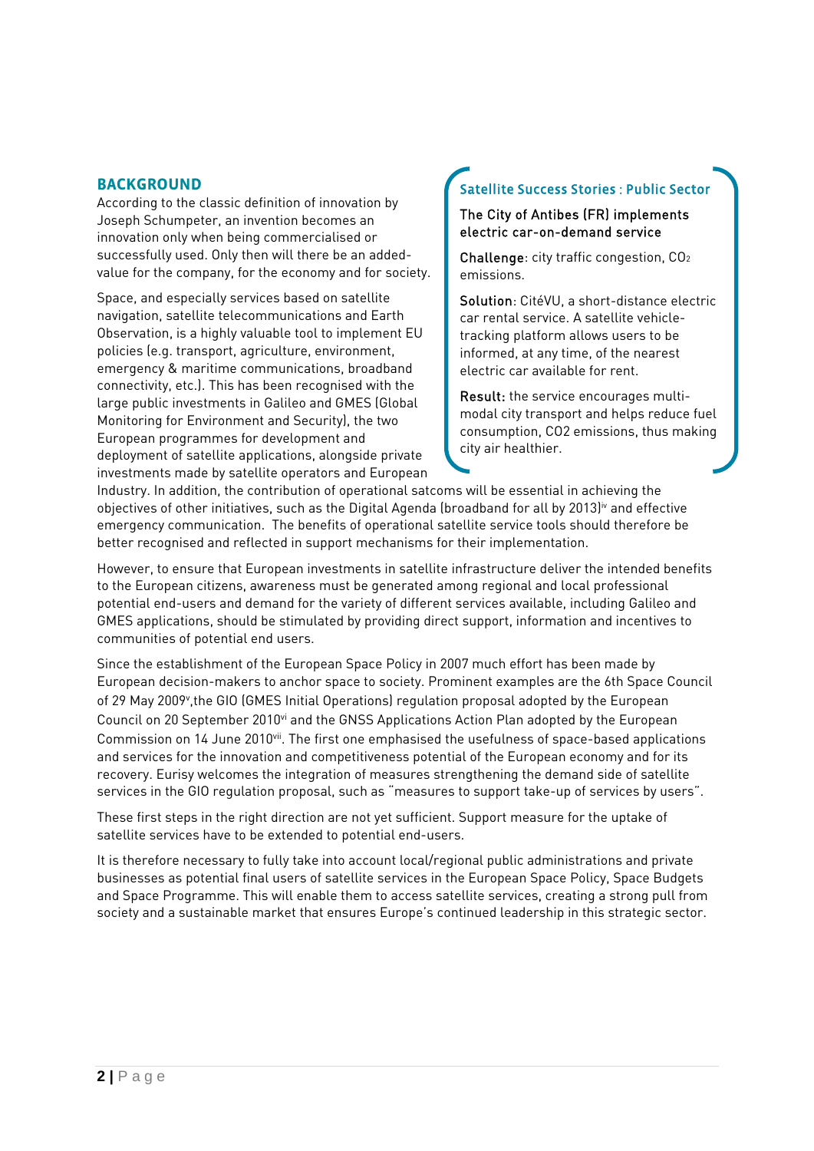### **BACKGROUND**

According to the classic definition of innovation by Joseph Schumpeter, an invention becomes an innovation only when being commercialised or successfully used. Only then will there be an addedvalue for the company, for the economy and for society.

Space, and especially services based on satellite navigation, satellite telecommunications and Earth Observation, is a highly valuable tool to implement EU policies (e.g. transport, agriculture, environment, emergency & maritime communications, broadband connectivity, etc.). This has been recognised with the large public investments in Galileo and GMES (Global Monitoring for Environment and Security), the two European programmes for development and deployment of satellite applications, alongside private investments made by satellite operators and European

# Satellite Success Stories : Public Sector

### The City of Antibes (FR) implements electric car-on-demand service

Challenge: city traffic congestion, CO2 emissions.

Solution: CitéVU, a short-distance electric car rental service. A satellite vehicletracking platform allows users to be informed, at any time, of the nearest electric car available for rent.

Result: the service encourages multimodal city transport and helps reduce fuel consumption, CO2 emissions, thus making city air healthier.

Industry. In addition, the contribution of operational satcoms will be essential in achieving the objectives of other initiatives, such as the Digital Agenda (broadband for all by 2013)<sup>iv</sup> and effective emergency communication. The benefits of operational satellite service tools should therefore be better recognised and reflected in support mechanisms for their implementation.

However, to ensure that European investments in satellite infrastructure deliver the intended benefits to the European citizens, awareness must be generated among regional and local professional potential end-users and demand for the variety of different services available, including Galileo and GMES applications, should be stimulated by providing direct support, information and incentives to communities of potential end users.

Since the establishment of the European Space Policy in 2007 much effort has been made by European decision-makers to anchor space to society. Prominent examples are the 6th Space Council of 29 May 2009v ,the GIO (GMES Initial Operations) regulation proposal adopted by the European Council on 20 September 2010vi and the GNSS Applications Action Plan adopted by the European Commission on 14 June 2010vii. The first one emphasised the usefulness of space-based applications and services for the innovation and competitiveness potential of the European economy and for its recovery. Eurisy welcomes the integration of measures strengthening the demand side of satellite services in the GIO regulation proposal, such as "measures to support take-up of services by users".

These first steps in the right direction are not yet sufficient. Support measure for the uptake of satellite services have to be extended to potential end-users.

It is therefore necessary to fully take into account local/regional public administrations and private businesses as potential final users of satellite services in the European Space Policy, Space Budgets and Space Programme. This will enable them to access satellite services, creating a strong pull from society and a sustainable market that ensures Europe's continued leadership in this strategic sector.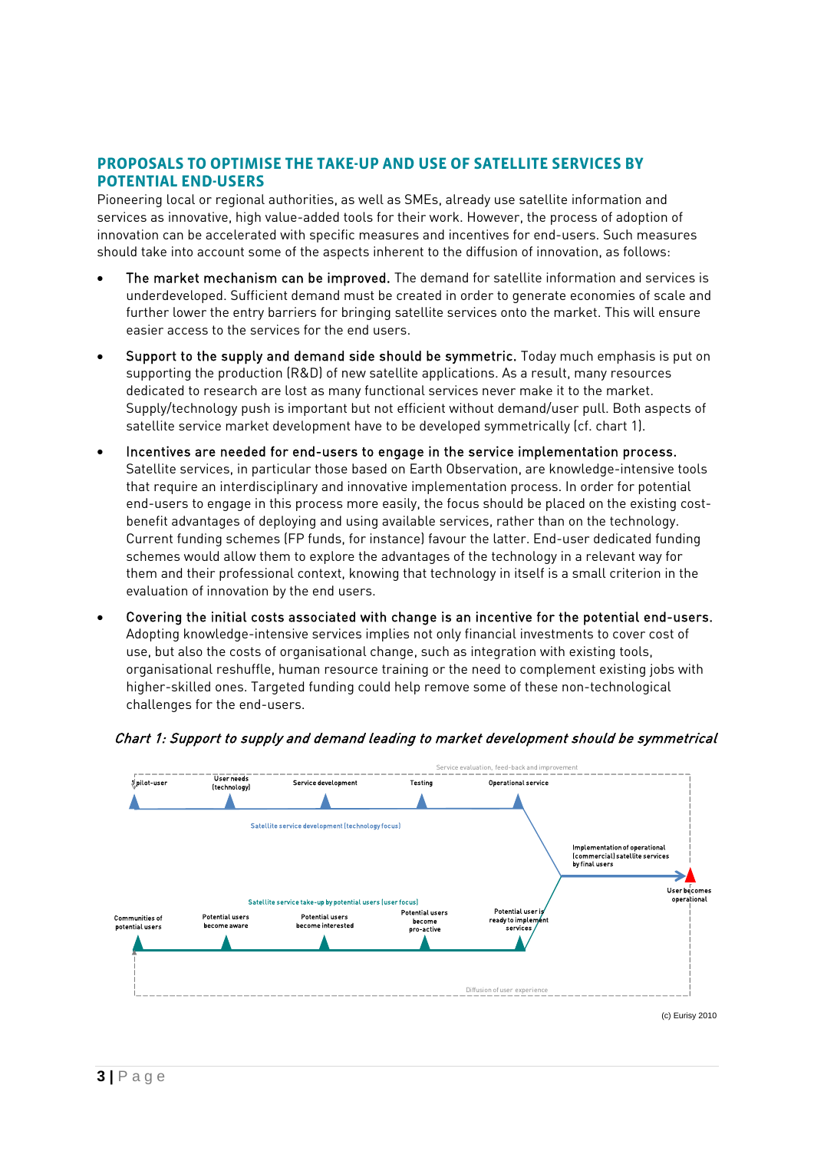### **PROPOSALS TO OPTIMISE THE TAKE-UP AND USE OF SATELLITE SERVICES BY POTENTIAL END-USERS**

Pioneering local or regional authorities, as well as SMEs, already use satellite information and services as innovative, high value-added tools for their work. However, the process of adoption of innovation can be accelerated with specific measures and incentives for end-users. Such measures should take into account some of the aspects inherent to the diffusion of innovation, as follows:

- The market mechanism can be improved. The demand for satellite information and services is underdeveloped. Sufficient demand must be created in order to generate economies of scale and further lower the entry barriers for bringing satellite services onto the market. This will ensure easier access to the services for the end users.
- Support to the supply and demand side should be symmetric. Today much emphasis is put on supporting the production (R&D) of new satellite applications. As a result, many resources dedicated to research are lost as many functional services never make it to the market. Supply/technology push is important but not efficient without demand/user pull. Both aspects of satellite service market development have to be developed symmetrically (cf. chart 1).
- Incentives are needed for end-users to engage in the service implementation process. Satellite services, in particular those based on Earth Observation, are knowledge-intensive tools that require an interdisciplinary and innovative implementation process. In order for potential end-users to engage in this process more easily, the focus should be placed on the existing costbenefit advantages of deploying and using available services, rather than on the technology. Current funding schemes (FP funds, for instance) favour the latter. End-user dedicated funding schemes would allow them to explore the advantages of the technology in a relevant way for them and their professional context, knowing that technology in itself is a small criterion in the evaluation of innovation by the end users.
- Covering the initial costs associated with change is an incentive for the potential end-users. Adopting knowledge-intensive services implies not only financial investments to cover cost of use, but also the costs of organisational change, such as integration with existing tools, organisational reshuffle, human resource training or the need to complement existing jobs with higher-skilled ones. Targeted funding could help remove some of these non-technological challenges for the end-users.



Chart 1: Support to supply and demand leading to market development should be symmetrical

(c) Eurisy 2010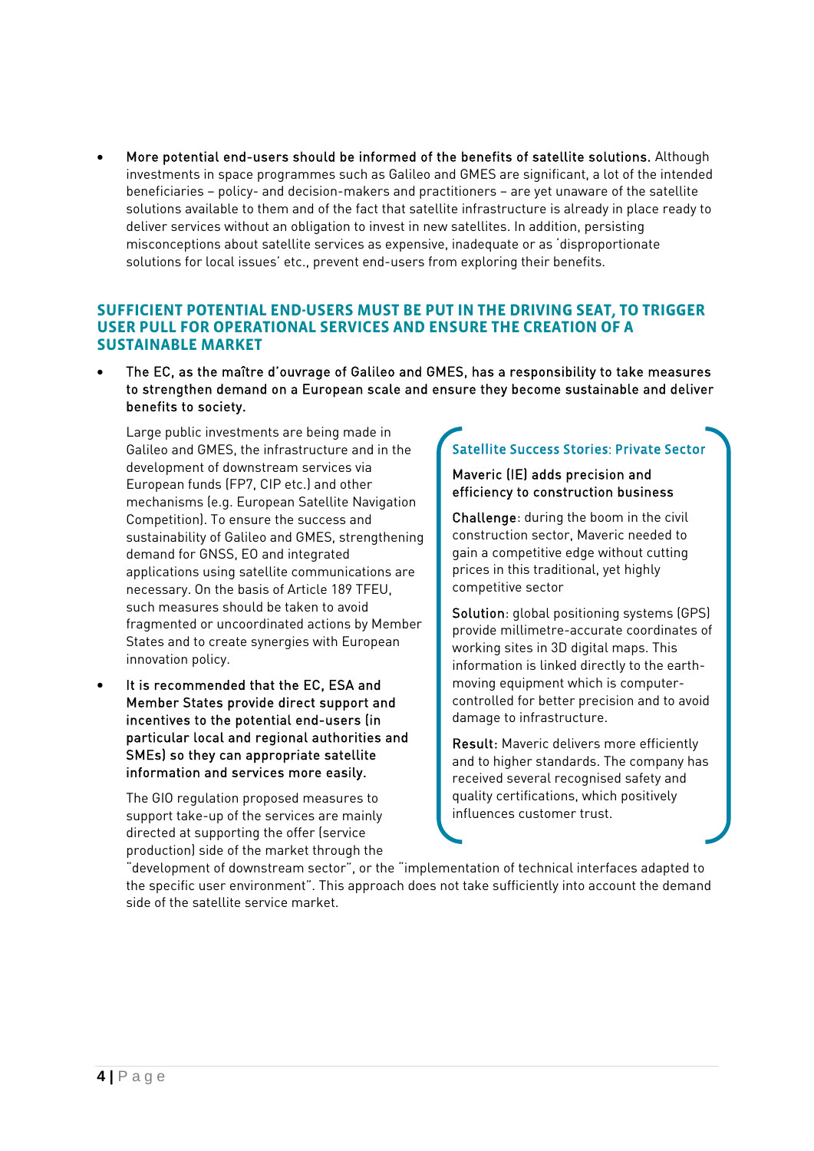More potential end-users should be informed of the benefits of satellite solutions. Although investments in space programmes such as Galileo and GMES are significant, a lot of the intended beneficiaries – policy- and decision-makers and practitioners – are yet unaware of the satellite solutions available to them and of the fact that satellite infrastructure is already in place ready to deliver services without an obligation to invest in new satellites. In addition, persisting misconceptions about satellite services as expensive, inadequate or as 'disproportionate solutions for local issues' etc., prevent end-users from exploring their benefits.

### **SUFFICIENT POTENTIAL END-USERS MUST BE PUT IN THE DRIVING SEAT, TO TRIGGER USER PULL FOR OPERATIONAL SERVICES AND ENSURE THE CREATION OF A SUSTAINABLE MARKET**

 The EC, as the maître d'ouvrage of Galileo and GMES, has a responsibility to take measures to strengthen demand on a European scale and ensure they become sustainable and deliver benefits to society.

Large public investments are being made in Galileo and GMES, the infrastructure and in the development of downstream services via European funds (FP7, CIP etc.) and other mechanisms (e.g. European Satellite Navigation Competition). To ensure the success and sustainability of Galileo and GMES, strengthening demand for GNSS, EO and integrated applications using satellite communications are necessary. On the basis of Article 189 TFEU, such measures should be taken to avoid fragmented or uncoordinated actions by Member States and to create synergies with European innovation policy.

 It is recommended that the EC, ESA and Member States provide direct support and incentives to the potential end-users (in particular local and regional authorities and SMEs) so they can appropriate satellite information and services more easily.

The GIO regulation proposed measures to support take-up of the services are mainly directed at supporting the offer (service production) side of the market through the

# Satellite Success Stories: Private Sector

#### Maveric (IE) adds precision and efficiency to construction business

Challenge: during the boom in the civil construction sector, Maveric needed to gain a competitive edge without cutting prices in this traditional, yet highly competitive sector

Solution: global positioning systems (GPS) provide millimetre-accurate coordinates of working sites in 3D digital maps. This information is linked directly to the earthmoving equipment which is computercontrolled for better precision and to avoid damage to infrastructure.

Result: Maveric delivers more efficiently and to higher standards. The company has received several recognised safety and quality certifications, which positively influences customer trust.

"development of downstream sector", or the "implementation of technical interfaces adapted to the specific user environment". This approach does not take sufficiently into account the demand side of the satellite service market.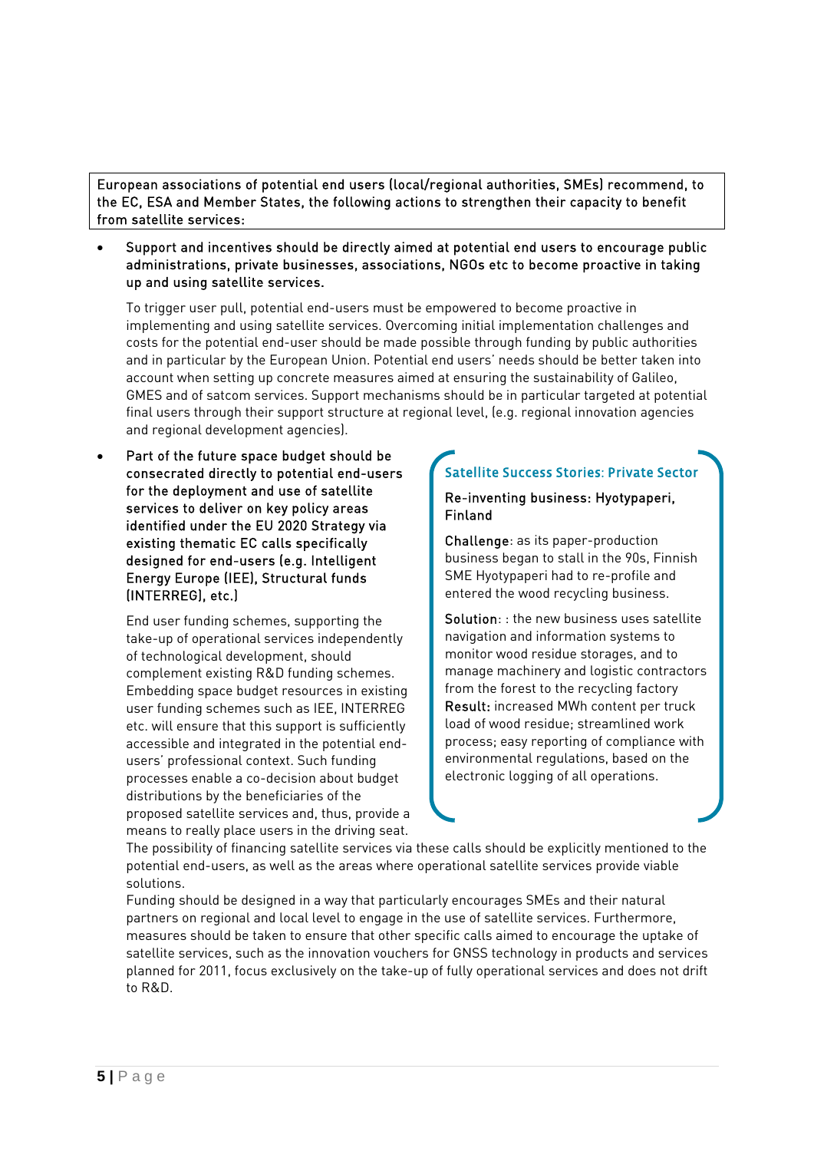European associations of potential end users (local/regional authorities, SMEs) recommend, to the EC, ESA and Member States, the following actions to strengthen their capacity to benefit from satellite services:

 Support and incentives should be directly aimed at potential end users to encourage public administrations, private businesses, associations, NGOs etc to become proactive in taking up and using satellite services.

To trigger user pull, potential end-users must be empowered to become proactive in implementing and using satellite services. Overcoming initial implementation challenges and costs for the potential end-user should be made possible through funding by public authorities and in particular by the European Union. Potential end users' needs should be better taken into account when setting up concrete measures aimed at ensuring the sustainability of Galileo, GMES and of satcom services. Support mechanisms should be in particular targeted at potential final users through their support structure at regional level, (e.g. regional innovation agencies and regional development agencies).

 Part of the future space budget should be consecrated directly to potential end-users for the deployment and use of satellite services to deliver on key policy areas identified under the EU 2020 Strategy via existing thematic EC calls specifically designed for end-users (e.g. Intelligent Energy Europe (IEE), Structural funds (INTERREG), etc.)

End user funding schemes, supporting the take-up of operational services independently of technological development, should complement existing R&D funding schemes. Embedding space budget resources in existing user funding schemes such as IEE, INTERREG etc. will ensure that this support is sufficiently accessible and integrated in the potential endusers' professional context. Such funding processes enable a co-decision about budget distributions by the beneficiaries of the proposed satellite services and, thus, provide a means to really place users in the driving seat.

# Satellite Success Stories: Private Sector

#### Re-inventing business: Hyotypaperi, Finland

Challenge: as its paper-production business began to stall in the 90s, Finnish SME Hyotypaperi had to re-profile and entered the wood recycling business.

Solution: : the new business uses satellite navigation and information systems to monitor wood residue storages, and to manage machinery and logistic contractors from the forest to the recycling factory Result: increased MWh content per truck load of wood residue; streamlined work process; easy reporting of compliance with environmental regulations, based on the electronic logging of all operations.

The possibility of financing satellite services via these calls should be explicitly mentioned to the potential end-users, as well as the areas where operational satellite services provide viable solutions.

Funding should be designed in a way that particularly encourages SMEs and their natural partners on regional and local level to engage in the use of satellite services. Furthermore, measures should be taken to ensure that other specific calls aimed to encourage the uptake of satellite services, such as the innovation vouchers for GNSS technology in products and services planned for 2011, focus exclusively on the take-up of fully operational services and does not drift to R&D.